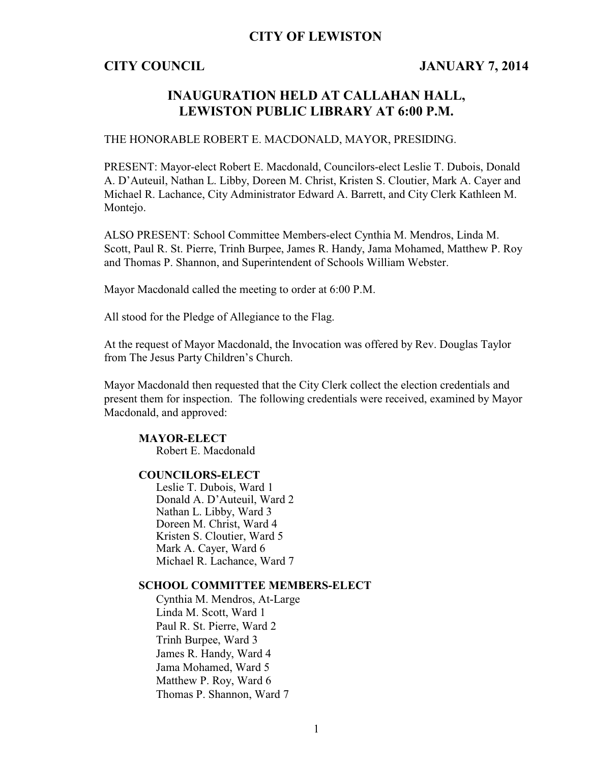## **CITY OF LEWISTON**

## **CITY COUNCIL JANUARY 7, 2014**

## **INAUGURATION HELD AT CALLAHAN HALL, LEWISTON PUBLIC LIBRARY AT 6:00 P.M.**

### THE HONORABLE ROBERT E. MACDONALD, MAYOR, PRESIDING.

PRESENT: Mayor-elect Robert E. Macdonald, Councilors-elect Leslie T. Dubois, Donald A. D'Auteuil, Nathan L. Libby, Doreen M. Christ, Kristen S. Cloutier, Mark A. Cayer and Michael R. Lachance, City Administrator Edward A. Barrett, and City Clerk Kathleen M. Montejo.

ALSO PRESENT: School Committee Members-elect Cynthia M. Mendros, Linda M. Scott, Paul R. St. Pierre, Trinh Burpee, James R. Handy, Jama Mohamed, Matthew P. Roy and Thomas P. Shannon, and Superintendent of Schools William Webster.

Mayor Macdonald called the meeting to order at 6:00 P.M.

All stood for the Pledge of Allegiance to the Flag.

At the request of Mayor Macdonald, the Invocation was offered by Rev. Douglas Taylor from The Jesus Party Children's Church.

Mayor Macdonald then requested that the City Clerk collect the election credentials and present them for inspection. The following credentials were received, examined by Mayor Macdonald, and approved:

### **MAYOR-ELECT**

Robert E. Macdonald

### **COUNCILORS-ELECT**

Leslie T. Dubois, Ward 1 Donald A. D'Auteuil, Ward 2 Nathan L. Libby, Ward 3 Doreen M. Christ, Ward 4 Kristen S. Cloutier, Ward 5 Mark A. Cayer, Ward 6 Michael R. Lachance, Ward 7

### **SCHOOL COMMITTEE MEMBERS-ELECT**

Cynthia M. Mendros, At-Large Linda M. Scott, Ward 1 Paul R. St. Pierre, Ward 2 Trinh Burpee, Ward 3 James R. Handy, Ward 4 Jama Mohamed, Ward 5 Matthew P. Roy, Ward 6 Thomas P. Shannon, Ward 7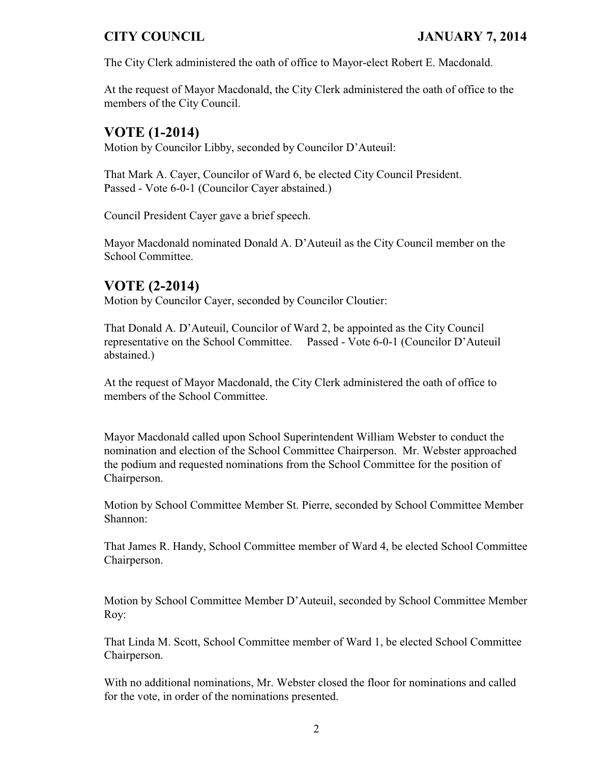The City Clerk administered the oath of office to Mayor-elect Robert E. Macdonald.

At the request of Mayor Macdonald, the City Clerk administered the oath of office to the members of the City Council.

# **VOTE (1-2014)**

Motion by Councilor Libby, seconded by Councilor D'Auteuil:

That Mark A. Cayer, Councilor of Ward 6, be elected City Council President. Passed - Vote 6-0-1 (Councilor Cayer abstained.)

Council President Cayer gave a brief speech.

Mayor Macdonald nominated Donald A. D'Auteuil as the City Council member on the School Committee.

# **VOTE (2-2014)**

Motion by Councilor Cayer, seconded by Councilor Cloutier:

That Donald A. D'Auteuil, Councilor of Ward 2, be appointed as the City Council representative on the School Committee. Passed - Vote 6-0-1 (Councilor D'Auteuil abstained.)

At the request of Mayor Macdonald, the City Clerk administered the oath of office to members of the School Committee.

Mayor Macdonald called upon School Superintendent William Webster to conduct the nomination and election of the School Committee Chairperson. Mr. Webster approached the podium and requested nominations from the School Committee for the position of Chairperson.

Motion by School Committee Member St. Pierre, seconded by School Committee Member Shannon:

That James R. Handy, School Committee member of Ward 4, be elected School Committee Chairperson.

Motion by School Committee Member D'Auteuil, seconded by School Committee Member Roy:

That Linda M. Scott, School Committee member of Ward 1, be elected School Committee Chairperson.

With no additional nominations, Mr. Webster closed the floor for nominations and called for the vote, in order of the nominations presented.